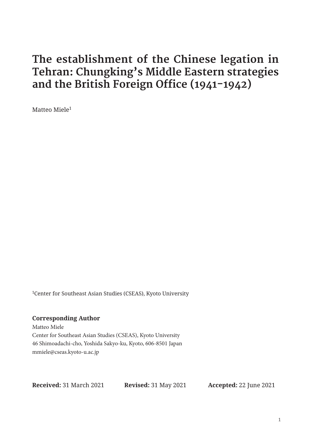# **The establishment of the Chinese legation in Tehran: Chungking's Middle Eastern strategies and the British Foreign Office (1941-1942)**

Matteo Miele1

1Center for Southeast Asian Studies (CSEAS), Kyoto University

#### **Corresponding Author**

Matteo Miele Center for Southeast Asian Studies (CSEAS), Kyoto University 46 Shimoadachi-cho, Yoshida Sakyo-ku, Kyoto, 606-8501 Japan mmiele@cseas.kyoto-u.ac.jp

**Received:** 31 March 2021 **Revised:** 31 May 2021 **Accepted:** 22 June 2021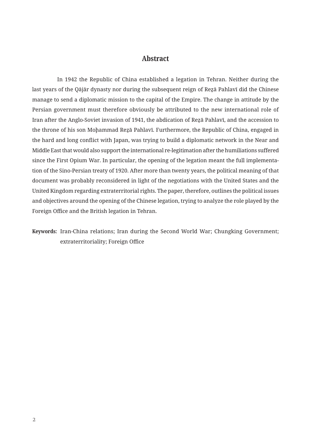### **Abstract**

In 1942 the Republic of China established a legation in Tehran. Neither during the last years of the Qājār dynasty nor during the subsequent reign of Reẕā Pahlavī did the Chinese manage to send a diplomatic mission to the capital of the Empire. The change in attitude by the Persian government must therefore obviously be attributed to the new international role of Iran after the Anglo-Soviet invasion of 1941, the abdication of Reẕā Pahlavī, and the accession to the throne of his son Mohammad Rezā Pahlavī. Furthermore, the Republic of China, engaged in the hard and long conflict with Japan, was trying to build a diplomatic network in the Near and Middle East that would also support the international re-legitimation after the humiliations suffered since the First Opium War. In particular, the opening of the legation meant the full implementation of the Sino-Persian treaty of 1920. After more than twenty years, the political meaning of that document was probably reconsidered in light of the negotiations with the United States and the United Kingdom regarding extraterritorial rights. The paper, therefore, outlines the political issues and objectives around the opening of the Chinese legation, trying to analyze the role played by the Foreign Office and the British legation in Tehran.

## **Keywords:** Iran-China relations; Iran during the Second World War; Chungking Government; extraterritoriality; Foreign Office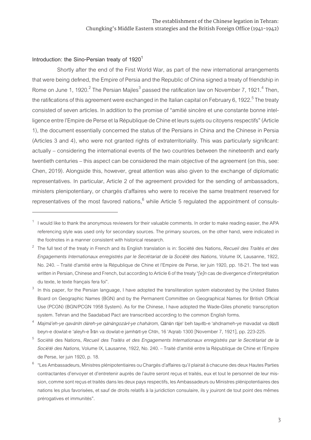#### Introduction: the Sino-Persian treaty of 1920<sup>1</sup>

Shortly after the end of the First World War, as part of the new international arrangements that were being defined, the Empire of Persia and the Republic of China signed a treaty of friendship in Rome on June 1, 1920.<sup>2</sup> The Persian Majles<sup>3</sup> passed the ratification law on November 7, 1921.<sup>4</sup> Then, the ratifications of this agreement were exchanged in the Italian capital on February 6, 1922. $^5$  The treaty consisted of seven articles. In addition to the promise of "amitié sincère et une constante bonne intelligence entre l'Empire de Perse et la République de Chine et leurs sujets ou citoyens respectifs" (Article 1), the document essentially concerned the status of the Persians in China and the Chinese in Persia (Articles 3 and 4), who were not granted rights of extraterritoriality. This was particularly significant: actually – considering the international events of the two countries between the nineteenth and early twentieth centuries – this aspect can be considered the main objective of the agreement (on this, see: Chen, 2019). Alongside this, however, great attention was also given to the exchange of diplomatic representatives. In particular, Article 2 of the agreement provided for the sending of ambassadors, ministers plenipotentiary, or chargés d'affaires who were to receive the same treatment reserved for representatives of the most favored nations,  $^6$  while Article 5 regulated the appointment of consuls-

 $1$  I would like to thank the anonymous reviewers for their valuable comments. In order to make reading easier, the APA referencing style was used only for secondary sources. The primary sources, on the other hand, were indicated in the footnotes in a manner consistent with historical research.

<sup>2</sup> The full text of the treaty in French and its English translation is in: Société des Nations, *Recueil des Traités et des Engagements Internationaux enregistrés par le Secrétariat de la Société des Nations,* Volume IX, Lausanne, 1922, No. 240. – Traité d'amitié entre la République de Chine et l'Empire de Perse, Ier juin 1920, pp. 18-21. The text was written in Persian, Chinese and French, but according to Article 6 of the treaty "*[e]n* cas de divergence d'interprétation du texte, le texte français fera foi".

In this paper, for the Persian language, I have adopted the transliteration system elaborated by the United States Board on Geographic Names (BGN) and by the Permanent Committee on Geographical Names for British Official Use (PCGN) (BGN/PCGN 1958 System). As for the Chinese, I have adopted the Wade-Giles phonetic transcription system. Tehran and the Saadabad Pact are transcribed according to the common English forms.

Majmū'eh-ye gavānīn dūreh-ye gānūngozārī-ye chahārom, Qānūn rāje' beh taşvīb-e 'ahdnameh-ye mavadat va dūstī beyn-e dowlat-e 'aleyh-e Īrān va dowlat-e jamhūrī-ye Chīn, 16 'Aqrab 1300 [November 7, 1921], pp. 223-225.

<sup>5</sup> Société des Nations, *Recueil des Traités et des Engagements Internationaux enregistrés par le Secrétariat de la Société des Nations,* Volume IX, Lausanne, 1922, No. 240. – Traité d'amitié entre la République de Chine et l'Empire de Perse, Ier juin 1920, p. 18.

<sup>6</sup> "Les Ambassadeurs, Ministres plénipotentiaires ou Chargés d'affaires qu'il plairait à chacune des deux Hautes Parties contractantes d'envoyer et d'entretenir auprès de l'autre seront reçus et traités, eux et tout le personnel de leur mission, comme sont reçus et traités dans les deux pays respectifs, les Ambassadeurs ou Ministres plénipotentiaires des nations les plus favorisées, et sauf de droits relatifs à la juridiction consulaire, ils y jouiront de tout point des mêmes prérogatives et immunités".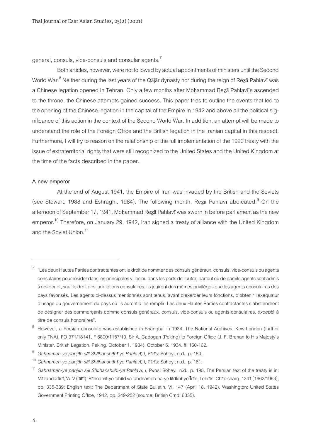general, consuls, vice-consuls and consular agents.<sup>7</sup>

Both articles, however, were not followed by actual appointments of ministers until the Second World War.<sup>8</sup> Neither during the last years of the Qājār dynasty nor during the reign of Reẓā Pahlavī was a Chinese legation opened in Tehran. Only a few months after Moḩammad Reza Pahlavī's ascended to the throne, the Chinese attempts gained success. This paper tries to outline the events that led to the opening of the Chinese legation in the capital of the Empire in 1942 and above all the political significance of this action in the context of the Second World War. In addition, an attempt will be made to understand the role of the Foreign Office and the British legation in the Iranian capital in this respect. Furthermore, I will try to reason on the relationship of the full implementation of the 1920 treaty with the issue of extraterritorial rights that were still recognized to the United States and the United Kingdom at the time of the facts described in the paper.

#### **A new emperor**

At the end of August 1941, the Empire of Iran was invaded by the British and the Soviets (see Stewart, 1988 and Eshraghi, 1984). The following month, Reza Pahlavi abdicated.<sup>9</sup> On the afternoon of September 17, 1941, Moḩammad Rezā Pahlavī was sworn in before parliament as the new emperor.<sup>10</sup> Therefore, on January 29, 1942, Iran signed a treaty of alliance with the United Kingdom and the Soviet Union.<sup>11</sup>

<sup>7</sup> "Les deux Hautes Parties contractantes ont le droit de nommer des consuls généraux, consuls, vice-consuls ou agents consulaires pour résider dans les principales villes ou dans les ports de l'autre, partout où de pareils agents sont admis à résider et, sauf le droit des juridictions consulaires, ils jouiront des mêmes privilèges que les agents consulaires des pays favorisés. Les agents ci-dessus mentionnés sont tenus, avant d'exercer leurs fonctions, d'obtenir l'exequatur d'usage du gouvernement du pays où ils auront à les remplir. Les deux Hautes Parties contractantes s'abstiendront de désigner des commerçants comme consuls généraux, consuls, vice-consuls ou agents consulaires, *excepté* à titre de consuls honoraires".

However, a Persian consulate was established in Shanghai in 1934, The National Archives, Kew-London (further only TNA), FO 371/18141, F 6800/1157/10, Sir A. Cadogan (Peking) to Foreign Office (J. F. Brenan to His Majesty's Minister, British Legation, Peking, October 1, 1934), October 6, 1934, ff. 160-162.

<sup>9</sup> *Gahnameh-ye panjāh sāl Shāhanshāhī-ye Pahlavī, I,* Pārīs: Soheyl, n.d., p. 180.

<sup>10</sup> *Gahnameh-ye panjāh sāl Shāhanshāhī-ye Pahlavī, I,* Pārīs: Soheyl, n.d., p. 181.

<sup>11</sup> *Gahnameh-ye panjāh sāl Shāhanshāhī-ye Pahlavī, I,* P*ā*r*ī*s: Soheyl, n.d., p. 195. The Persian text of the treaty is in: Māzandarānī, 'A. V (tālīf), Rāhnamā-ye 'ohūd va 'ahdnameh-ha-ye tārīkhī-ye Īrān, Tehrān: Chāp sharq, 1341 [1962/1963], pp. 335-339; English text: The Department of State Bulletin, VI, 147 (April 18, 1942), Washington: United States Government Printing Office, 1942, pp. 249-252 (source: British Cmd. 6335).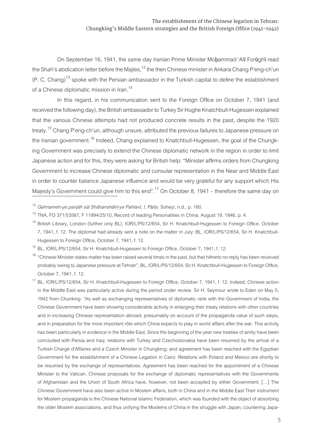On September 16, 1941, the same day Iranian Prime Minister Moḩammad 'Alī Forūghī read the Shah's abdication letter before the Majles, $12$  the then Chinese minister in Ankara Chang P'eng-ch'un  $(P. C. Chang)<sup>13</sup>$  spoke with the Persian ambassador in the Turkish capital to define the establishment of a Chinese diplomatic mission in Iran.<sup>14</sup>

In this regard, in his communication sent to the Foreign Office on October 7, 1941 (and received the following day), the British ambassador to Turkey Sir Hughe Knatchbull-Hugessen explained that the various Chinese attempts had not produced concrete results in the past, despite the 1920 treaty.<sup>15</sup> Chang P'eng-ch'un, although unsure, attributed the previous failures to Japanese pressure on the Iranian government.<sup>16</sup> Indeed, Chang explained to Knatchbull-Hugessen, the goal of the Chungking Government was precisely to extend the Chinese diplomatic network in the region in order to limit Japanese action and for this, they were asking for British help: "Minister affirms orders from Chungking Government to increase Chinese diplomatic and consular representation in the Near and Middle East in order to counter balance Japanese influence and would be very grateful for any support which His Majesty's Government could give him to this end".<sup>17</sup> On October 8, 1941 – therefore the same day on

<sup>12</sup> *Gahnameh-ye panjāh sāl Shāhanshāhī-ye Pahlavī, I,* Pārīs: Soheyl, n.d., p. 180.

<sup>&</sup>lt;sup>13</sup> TNA. FO 371/53567, F 11994/25/10, Record of leading Personalities in China, August 19, 1946, p. 4.

<sup>&</sup>lt;sup>14</sup> British Library, London (further only BL), IOR/L/PS/12/654, Sir H. Knatchbull-Hugessen to Foreign Office, October 7, 1941, f. 12. The diplomat had already sent a note on the matter in July: BL, IOR/L/PS/12/654, Sir H. Knatchbull-Hugessen to Foreign Office, October 7, 1941, f. 12.

<sup>&</sup>lt;sup>15</sup> BL, IOR/L/PS/12/654, Sir H. Knatchbull-Hugessen to Foreign Office, October 7, 1941, f. 12.

<sup>&</sup>lt;sup>16</sup> "Chinese Minister states matter has been raised several times in the past, but that hitherto no reply has been received probably owing to Japanese pressure at Tehran", BL, IOR/L/PS/12/654, Sir H. Knatchbull-Hugessen to Foreign Office, October 7, 1941, f. 12.

BL, IOR/L/PS/12/654, Sir H. Knatchbull-Hugessen to Foreign Office, October 7, 1941, f. 12. Indeed, Chinese action in the Middle East was particularly active during the period under review. Sir H. Seymour wrote to Eden on May 5, 1942 from Chunking: "As well as exchanging representatives of diplomatic rank with the Government of India, the Chinese Government have been showing considerable activity in enlarging their treaty relations with other countries and in increasing Chinese representation abroad, presumably on account of the propaganda value of such steps, and in preparation for the more important rôle which China expects to play in world affairs after the war. This activity has been particularly in evidence in the Middle East. Since the beginning of the year new treaties of amity have been concluded with Persia and Iraq; relations with Turkey and Czechoslovakia have been resumed by the arrival of a Turkish Chargé d'Affaires and a Czech Minister in Chungking; and agreement has been reached with the Egyptian Government for the establishment of a Chinese Legation in Cairo. Relations with Poland and Mexico are shortly to be resumed by the exchange of representatives. Agreement has been reached for the appointment of a Chinese Minister to the Vatican. Chinese proposals for the exchange of diplomatic representatives with the Governments of Afghanistan and the Union of South Africa have, however, not been accepted by either Government. […] The Chinese Government have also been active in Moslem affairs, both in China and in the Middle East Their instrument for Moslem propaganda is the Chinese National Islamic Federation, which was founded with the object of absorbing the older Moslem associations, and thus unifying the Moslems of China in the struggle with Japan, countering Japa-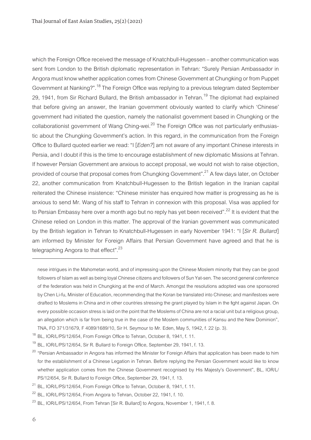which the Foreign Office received the message of Knatchbull-Hugessen – another communication was sent from London to the British diplomatic representation in Tehran: "Surely Persian Ambassador in Angora must know whether application comes from Chinese Government at Chungking or from Puppet Government at Nanking?".18 The Foreign Office was replying to a previous telegram dated September 29, 1941, from Sir Richard Bullard, the British ambassador in Tehran.<sup>19</sup> The diplomat had explained that before giving an answer, the Iranian government obviously wanted to clarify which 'Chinese' government had initiated the question, namely the nationalist government based in Chungking or the collaborationist government of Wang Ching-wei.<sup>20</sup> The Foreign Office was not particularly enthusiastic about the Chungking Government's action. In this regard, in the communication from the Foreign Office to Bullard quoted earlier we read: "I [*Eden?*] am not aware of any important Chinese interests in Persia, and I doubt if this is the time to encourage establishment of new diplomatic Missions at Tehran. If however Persian Government are anxious to accept proposal, we would not wish to raise objection, provided of course that proposal comes from Chungking Government".<sup>21</sup> A few days later, on October 22, another communication from Knatchbull-Hugessen to the British legation in the Iranian capital reiterated the Chinese insistence: "Chinese minister has enquired how matter is progressing as he is anxious to send Mr. Wang of his staff to Tehran in connexion with this proposal. Visa was applied for to Persian Embassy here over a month ago but no reply has yet been received".<sup>22</sup> It is evident that the Chinese relied on London in this matter. The approval of the Iranian government was communicated by the British legation in Tehran to Knatchbull-Hugessen in early November 1941: "I [*Sir R. Bullard*] am informed by Minister for Foreign Affairs that Persian Government have agreed and that he is telegraphing Angora to that effect".<sup>23</sup>

nese intrigues in the Mahometan world, and of impressing upon the Chinese Moslem minority that they can be good followers of Islam as well as being loyal Chinese citizens and followers of Sun Yat-sen. The second general conference of the federation was held in Chungking at the end of March. Amongst the resolutions adopted was one sponsored by Chen Li-fu, Minister of Education, recommending that the Koran be translated into Chinese; and manifestoes were drafted to Moslems in China and in other countries stressing the grant played by Islam in the fight against Japan. On every possible occasion stress is laid on the point that the Moslems of China are not a racial unit but a religious group, an allegation which is far from being true in the case of the Moslem communities of Kansu and the New Dominion", TNA, FO 371/31679, F 4089/1689/10, Sir H. Seymour to Mr. Eden, May 5, 1942, f. 22 (p. 3).

<sup>&</sup>lt;sup>18</sup> BL, IOR/L/PS/12/654, From Foreign Office to Tehran, October 8, 1941, f. 11.

BL, IOR/L/PS/12/654, Sir R. Bullard to Foreign Office, September 29, 1941, f. 13.

 $^{20}$  "Persian Ambassador in Angora has informed the Minister for Foreign Affairs that application has been made to him for the establishment of a Chinese Legation in Tehran. Before replying the Persian Government would like to know whether application comes from the Chinese Government recognised by His Majesty's Government", BL, IOR/L/ PS/12/654, Sir R. Bullard to Foreign Office, September 29, 1941, f. 13.

<sup>&</sup>lt;sup>21</sup> BL, IOR/L/PS/12/654, From Foreign Office to Tehran, October 8, 1941, f. 11.

<sup>&</sup>lt;sup>22</sup> BL, IOR/L/PS/12/654, From Angora to Tehran, October 22, 1941, f. 10.

 $^{23}$  BL, IOR/L/PS/12/654, From Tehran [Sir R. Bullard] to Angora, November 1, 1941, f. 8.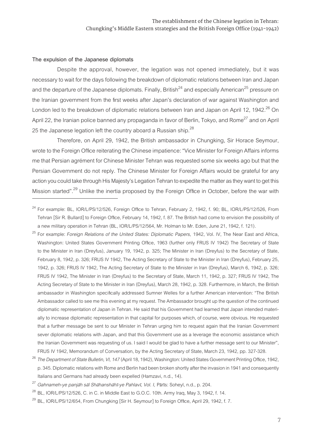#### **The expulsion of the Japanese diplomats**

Despite the approval, however, the legation was not opened immediately, but it was necessary to wait for the days following the breakdown of diplomatic relations between Iran and Japan and the departure of the Japanese diplomats. Finally, British<sup>24</sup> and especially American<sup>25</sup> pressure on the Iranian government from the first weeks after Japan's declaration of war against Washington and London led to the breakdown of diplomatic relations between Iran and Japan on April 12, 1942.<sup>26</sup> On April 22, the Iranian police banned any propaganda in favor of Berlin, Tokyo, and Rome<sup>27</sup> and on April 25 the Japanese legation left the country aboard a Russian ship.<sup>28</sup>

Therefore, on April 29, 1942, the British ambassador in Chungking, Sir Horace Seymour, wrote to the Foreign Office reiterating the Chinese impatience: "Vice Minister for Foreign Affairs informs me that Persian agrément for Chinese Minister Tehran was requested some six weeks ago but that the Persian Government do not reply. The Chinese Minister for Foreign Affairs would be grateful for any action you could take through His Majesty's Legation Tehran to expedite the matter as they want to get this Mission started".<sup>29</sup> Unlike the inertia proposed by the Foreign Office in October, before the war with

<sup>25</sup> For example: *Foreign Relations of the United States: Diplomatic Papers,* 1942, Vol. IV, The Near East and Africa, Washington: United States Government Printing Office, 1963 (further only FRUS IV 1942) The Secretary of State to the Minister in Iran (Dreyfus), January 19, 1942, p. 325; The Minister in Iran (Dreyfus) to the Secretary of State, February 8, 1942, p. 326; FRUS IV 1942, The Acting Secretary of State to the Minister in Iran (Dreyfus), February 25, 1942, p. 326; FRUS IV 1942, The Acting Secretary of State to the Minister in Iran (Dreyfus), March 6, 1942, p. 326; FRUS IV 1942, The Minister in Iran (Dreyfus) to the Secretary of State, March 11, 1942, p. 327; FRUS IV 1942, The Acting Secretary of State to the Minister in Iran (Dreyfus), March 28, 1942, p. 328. Furthermore, in March, the British ambassador in Washington specifically addressed Sumner Welles for a further American intervention: "The British Ambassador called to see me this evening at my request. The Ambassador brought up the question of the continued diplomatic representation of Japan in Tehran. He said that his Government had learned that Japan intended materially to increase diplomatic representation in that capital for purposes which, of course, were obvious. He requested that a further message be sent to our Minister in Tehran urging him to request again that the Iranian Government sever diplomatic relations with Japan, and that this Government use as a leverage the economic assistance which the Iranian Government was requesting of us. I said I would be glad to have a further message sent to our Minister", FRUS IV 1942, Memorandum of Conversation, by the Acting Secretary of State, March 23, 1942, pp. 327-328.

<sup>27</sup> *Gahnameh-ye panjāh sāl Shāhanshāhī-ye Pahlavī, Vol. I,* Pārīs: Soheyl, n.d., p. 204.

 $^{29}$  BL, IOR/L/PS/12/654, From Chungking [Sir H. Seymour] to Foreign Office, April 29, 1942, f. 7.

 $^{24}$  For example: BL, IOR/L/PS/12/526, Foreign Office to Tehran, February 2, 1942, f. 90; BL, IOR/L/PS/12/526, From Tehran [Sir R. Bullard] to Foreign Office, February 14, 1942, f. 87. The British had come to envision the possibility of a new military operation in Tehran (BL, IOR/L/PS/12/564, Mr. Holman to Mr. Eden, June 21, 1942, f. 121).

<sup>26</sup> *The Department of State Bulletin, VI, 147* (April 18, 1942), Washington: United States Government Printing Office, 1942, p. 345. Diplomatic relations with Rome and Berlin had been broken shortly after the invasion in 1941 and consequently Italians and Germans had already been expelled (Hamzavi, n.d., 14).

<sup>28</sup> BL, IOR/L/PS/12/526, C. in C. in Middle East to G.O.C. 10th. Army Iraq, May 3, 1942, f. 14.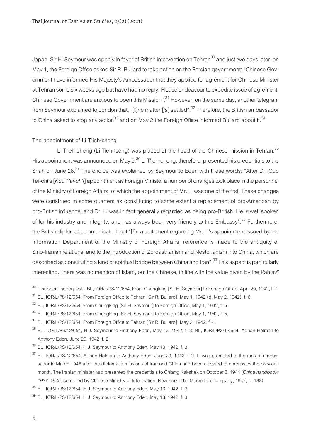Japan, Sir H. Seymour was openly in favor of British intervention on Tehran<sup>30</sup> and just two days later, on May 1, the Foreign Office asked Sir R. Bullard to take action on the Persian government: "Chinese Government have informed His Majesty's Ambassador that they applied for agrément for Chinese Minister at Tehran some six weeks ago but have had no reply. Please endeavour to expedite issue of agrément. Chinese Government are anxious to open this Mission".31 However, on the same day, another telegram from Seymour explained to London that: "[*t*]he matter [*is*] settled".32 Therefore, the British ambassador to China asked to stop any action<sup>33</sup> and on May 2 the Foreign Office informed Bullard about it.<sup>34</sup>

#### **The appointment of Li T'ieh-cheng**

Li T'ieh-cheng (Li Tieh-tseng) was placed at the head of the Chinese mission in Tehran.<sup>35</sup> His appointment was announced on May  $5^{36}$  Li T'ieh-cheng, therefore, presented his credentials to the Shah on June 28.<sup>37</sup> The choice was explained by Seymour to Eden with these words: "After Dr. Quo Tai-chi's [*Kuo T'ai-ch'i*] appointment as Foreign Minister a number of changes took place in the personnel of the Ministry of Foreign Affairs, of which the appointment of Mr. Li was one of the first. These changes were construed in some quarters as constituting to some extent a replacement of pro-American by pro-British influence, and Dr. Li was in fact generally regarded as being pro-British. He is well spoken of for his industry and integrity, and has always been very friendly to this Embassy".<sup>38</sup> Furthermore, the British diplomat communicated that "[*i*]n a statement regarding Mr. Li's appointment issued by the Information Department of the Ministry of Foreign Affairs, reference is made to the antiquity of Sino-Iranian relations, and to the introduction of Zoroastrianism and Nestorianism into China, which are described as constituting a kind of spiritual bridge between China and Iran".<sup>39</sup> This aspect is particularly interesting. There was no mention of Islam, but the Chinese, in line with the value given by the Pahlavī

<sup>&</sup>lt;sup>30</sup> "I support the request", BL, IOR/L/PS/12/654, From Chungking [Sir H. Seymour] to Foreign Office, April 29, 1942, f. 7.

 $31$  BL, IOR/L/PS/12/654, From Foreign Office to Tehran [Sir R. Bullard], May 1, 1942 (d. May 2, 1942), f. 6.

 $32$  BL, IOR/L/PS/12/654, From Chungking [Sir H. Seymour] to Foreign Office, May 1, 1942, f. 5.

<sup>33</sup> BL, IOR/L/PS/12/654, From Chungking [Sir H. Seymour] to Foreign Office, May 1, 1942, f. 5.

 $34$  BL, IOR/L/PS/12/654, From Foreign Office to Tehran [Sir R. Bullard], May 2, 1942, f. 4.

 $35$  BL, IOR/L/PS/12/654, H.J. Seymour to Anthony Eden, May 13, 1942, f. 3; BL, IOR/L/PS/12/654, Adrian Holman to Anthony Eden, June 29, 1942, f. 2.

 $36$  BL, IOR/L/PS/12/654, H.J. Seymour to Anthony Eden, May 13, 1942, f. 3.

 $37$  BL, IOR/L/PS/12/654, Adrian Holman to Anthony Eden, June 29, 1942, f. 2. Li was promoted to the rank of ambassador in March 1945 after the diplomatic missions of Iran and China had been elevated to embassies the previous month. The Iranian minister had presented the credentials to Chiang Kai-shek on October 3, 1944 (*China handbook: 1937–1945,* compiled by Chinese Ministry of Information, New York: The Macmillan Company, 1947, p. 182).

 $38$  BL, IOR/L/PS/12/654, H.J. Seymour to Anthony Eden, May 13, 1942, f. 3.

 $39$  BL, IOR/L/PS/12/654, H.J. Seymour to Anthony Eden, May 13, 1942, f. 3.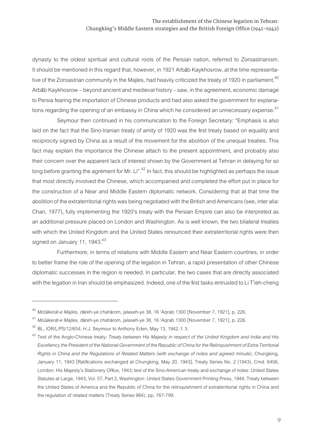dynasty to the oldest spiritual and cultural roots of the Persian nation, referred to Zoroastrianism. It should be mentioned in this regard that, however, in 1921 Arbāb Kaykhosrow, at the time representative of the Zoroastrian community in the Majles, had heavily criticized the treaty of 1920 in parliament.<sup>40</sup> Arbāb Kaykhosrow – beyond ancient and medieval history – saw, in the agreement, economic damage to Persia fearing the importation of Chinese products and had also asked the government for explanations regarding the opening of an embassy in China which he considered an unnecessary expense.<sup>41</sup>

Seymour then continued in his communication to the Foreign Secretary: "Emphasis is also laid on the fact that the Sino-Iranian treaty of amity of 1920 was the first treaty based on equality and reciprocity signed by China as a result of the movement for the abolition of the unequal treaties. This fact may explain the importance the Chinese attach to the present appointment, and probably also their concern over the apparent lack of interest shown by the Government at Tehran in delaying for so long before granting the agrément for Mr. Li".<sup>42</sup> In fact, this should be highlighted as perhaps the issue that most directly involved the Chinese, which accompanied and completed the effort put in place for the construction of a Near and Middle Eastern diplomatic network. Considering that at that time the abolition of the extraterritorial rights was being negotiated with the British and Americans (see, inter alia: Chan, 1977), fully implementing the 1920's treaty with the Persian Empire can also be interpreted as an additional pressure placed on London and Washington. As is well known, the two bilateral treaties with which the United Kingdom and the United States renounced their extraterritorial rights were then signed on January 11, 1943. $43$ 

Furthermore, in terms of relations with Middle Eastern and Near Eastern countries, in order to better frame the role of the opening of the legation in Tehran, a rapid presentation of other Chinese diplomatic successes in the region is needed. In particular, the two cases that are directly associated with the legation in Iran should be emphasized. Indeed, one of the first tasks entrusted to Li T'ieh-cheng

<sup>40</sup> *Moz̄ākerāt-e Majles,* dūreh-ye chahārom, jalaseh-ye 38, 16 'Aqrab 1300 [November 7, 1921], p. 226.

<sup>41</sup> *Moz̄ākerāt-e Majles,* dūreh-ye chahārom, jalaseh-ye 38, 16 'Aqrab 1300 [November 7, 1921], p. 226.

BL, IOR/L/PS/12/654, H.J. Seymour to Anthony Eden, May 13, 1942, f. 3.

<sup>43</sup> Text of the Anglo-Chinese treaty: *Treaty between His Majesty in respect of the United Kingdom and India and His Excellency the President of the National Government of the Republic of China for the Relinquishment of Extra-Territorial Rights in China and the Regulations of Related Matters (with exchange of notes and agreed minute),* Chungking, January 11, 1943 [Ratifications exchanged at Chungking, May 20, 1943], Treaty Series No. 2 (1943), Cmd. 6456, London: His Majesty's Stationery Office, 1943; text of the Sino-American treaty and exchange of notes: United States Statutes at Large, 1943, Vol. 57, Part 2, Washington: United States Government Printing Press, 1944, Treaty between the United States of America and the Republic of China for the relinquishment of extraterritorial rights in China and the regulation of related matters (Treaty Series 984), pp. 767-799.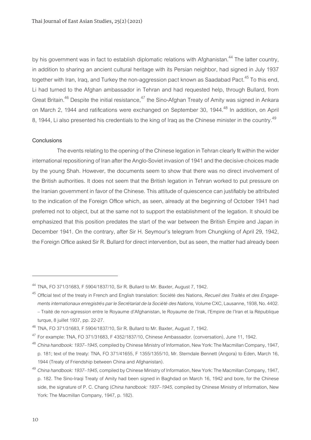by his government was in fact to establish diplomatic relations with Afghanistan.<sup>44</sup> The latter country, in addition to sharing an ancient cultural heritage with its Persian neighbor, had signed in July 1937 together with Iran, Iraq, and Turkey the non-aggression pact known as Saadabad Pact.<sup>45</sup> To this end, Li had turned to the Afghan ambassador in Tehran and had requested help, through Bullard, from Great Britain.<sup>46</sup> Despite the initial resistance,<sup>47</sup> the Sino-Afghan Treaty of Amity was signed in Ankara on March 2, 1944 and ratifications were exchanged on September 30, 1944.<sup>48</sup> In addition, on April 8, 1944, Li also presented his credentials to the king of Iraq as the Chinese minister in the country.<sup>49</sup>

#### **Conclusions**

The events relating to the opening of the Chinese legation in Tehran clearly fit within the wider international repositioning of Iran after the Anglo-Soviet invasion of 1941 and the decisive choices made by the young Shah. However, the documents seem to show that there was no direct involvement of the British authorities. It does not seem that the British legation in Tehran worked to put pressure on the Iranian government in favor of the Chinese. This attitude of quiescence can justifiably be attributed to the indication of the Foreign Office which, as seen, already at the beginning of October 1941 had preferred not to object, but at the same not to support the establishment of the legation. It should be emphasized that this position predates the start of the war between the British Empire and Japan in December 1941. On the contrary, after Sir H. Seymour's telegram from Chungking of April 29, 1942, the Foreign Office asked Sir R. Bullard for direct intervention, but as seen, the matter had already been

<sup>44</sup> TNA, FO 371/31683, F 5904/1837/10, Sir R. Bullard to Mr. Baxter, August 7, 1942.

<sup>45</sup> Official text of the treaty in French and English translation: Société des Nations, *Recueil des Traités et des Engagements internationaux enregistrés par le Secrétariat de la Société des Nations,* Volume CXC, Lausanne, 1938, No. 4402. – Traité de non-agression entre le Royaume d'Afghanistan, le Royaume de l'Irak, l'Empire de l'Iran et la République turque, 8 juillet 1937, pp. 22-27.

TNA, FO 371/31683, F 5904/1837/10, Sir R. Bullard to Mr. Baxter, August 7, 1942.

 $47$  For example: TNA, FO 371/31683, F 4352/1837/10, Chinese Ambassador. (conversation), June 11, 1942.

<sup>48</sup> *China handbook: 1937–1945,* compiled by Chinese Ministry of Information, New York: The Macmillan Company, 1947, p. 181; text of the treaty: TNA, FO 371/41655, F 1355/1355/10, Mr. Sterndale Bennett (Angora) to Eden, March 16, 1944 (Treaty of Friendship between China and Afghanistan).

<sup>49</sup> *China handbook: 1937–1945,* compiled by Chinese Ministry of Information, New York: The Macmillan Company, 1947, p. 182. The Sino-Iraqi Treaty of Amity had been signed in Baghdad on March 16, 1942 and bore, for the Chinese side, the signature of P. C. Chang (*China handbook: 1937–1945,* compiled by Chinese Ministry of Information, New York: The Macmillan Company, 1947, p. 182).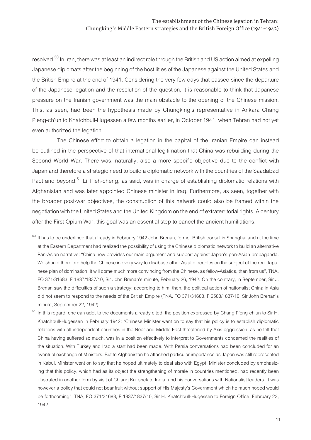resolved.<sup>50</sup> In Iran, there was at least an indirect role through the British and US action aimed at expelling Japanese diplomats after the beginning of the hostilities of the Japanese against the United States and the British Empire at the end of 1941. Considering the very few days that passed since the departure of the Japanese legation and the resolution of the question, it is reasonable to think that Japanese pressure on the Iranian government was the main obstacle to the opening of the Chinese mission. This, as seen, had been the hypothesis made by Chungking's representative in Ankara Chang P'eng-ch'un to Knatchbull-Hugessen a few months earlier, in October 1941, when Tehran had not yet even authorized the legation.

The Chinese effort to obtain a legation in the capital of the Iranian Empire can instead be outlined in the perspective of that international legitimation that China was rebuilding during the Second World War. There was, naturally, also a more specific objective due to the conflict with Japan and therefore a strategic need to build a diplomatic network with the countries of the Saadabad Pact and beyond.<sup>51</sup> Li T'ieh-cheng, as said, was in charge of establishing diplomatic relations with Afghanistan and was later appointed Chinese minister in Iraq. Furthermore, as seen, together with the broader post-war objectives, the construction of this network could also be framed within the negotiation with the United States and the United Kingdom on the end of extraterritorial rights. A century after the First Opium War, this goal was an essential step to cancel the ancient humiliations.

<sup>51</sup> In this regard, one can add, to the documents already cited, the position expressed by Chang P'eng-ch'un to Sir H. Knatchbull-Hugessen in February 1942: "Chinese Minister went on to say that his policy is to establish diplomatic relations with all independent countries in the Near and Middle East threatened by Axis aggression, as he felt that China having suffered so much, was in a position effectively to interpret to Governments concerned the realities of the situation. With Turkey and Iraq a start had been made. With Persia conversations had been concluded for an eventual exchange of Ministers. But to Afghanistan he attached particular importance as Japan was still represented in Kabul. Minister went on to say that he hoped ultimately to deal also with Egypt. Minister concluded by emphasizing that this policy, which had as its object the strengthening of morale in countries mentioned, had recently been illustrated in another form by visit of Chiang Kai-shek to India, and his conversations with Nationalist leaders. It was however a policy that could not bear fruit without support of His Majesty's Government which he much hoped would be forthcoming", TNA, FO 371/31683, F 1837/1837/10, Sir H. Knatchbull-Hugessen to Foreign Office, February 23, 1942.

 $50$  It has to be underlined that already in February 1942 John Brenan, former British consul in Shanghai and at the time at the Eastern Department had realized the possibility of using the Chinese diplomatic network to build an alternative Pan-Asian narrative: "China now provides our main argument and support against Japan's pan-Asian propaganda. We should therefore help the Chinese in every way to disabuse other Asiatic peoples on the subject of the real Japanese plan of domination. It will come much more convincing from the Chinese, as fellow-Asiatics, than from us", TNA, FO 371/31683, F 1837/1837/10, Sir John Brenan's minute, February 26, 1942. On the contrary, in September, Sir J. Brenan saw the difficulties of such a strategy: according to him, then, the political action of nationalist China in Asia did not seem to respond to the needs of the British Empire (TNA, FO 371/31683, F 6583/1837/10, Sir John Brenan's minute, September 22, 1942).